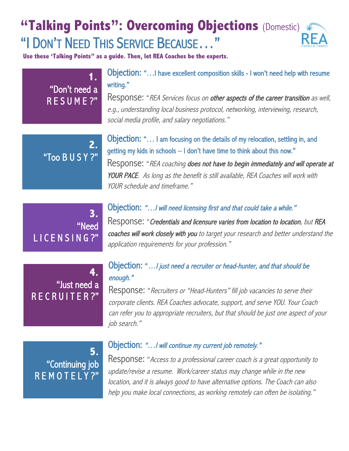# **"Talking Points": Overcoming Objections** (Domestic) \* "I DON'T NEED THIS SERVICE BECAUSE…"

**Use these 'Talking Points" as a guide. Then, let REA Coaches be the experts.** 

## **1.** "Don't need a R E S U M E ?"

Objection: "…I have excellent composition skills - I won't need help with resume writing."

Response: "REA Services focus on other aspects of the career transition as well, e.g., understanding local business protocol, networking, interviewing, research, social media profile, and salary negotiations."

**2.**  "Too B U S Y ?" Objection: "… I am focusing on the details of my relocation, settling in, and getting my kids in schools – I don't have time to think about this now." Response: "REA coaching does not have to begin immediately and will operate at YOUR PACE. As long as the benefit is still available, REA Coaches will work with YOUR schedule and timeframe."

**3.**  "Need LICENSING?"

### Objection: "…I will need licensing first and that could take a while."

Response: "Credentials and licensure varies from location to location, but REA coaches will work closely with you to target your research and better understand the application requirements for your profession."

#### enough." **4.** "Just need a RECRUITER?"

# Objection: "…I just need a recruiter or head-hunter, and that should be

Response: "Recruiters or "Head-Hunters" fill job vacancies to serve their corporate clients. REA Coaches advocate, support, and serve YOU. Your Coach can refer you to appropriate recruiters, but that should be just one aspect of your job search."

**5.**  "Continuing job R E M O T E L Y ?"

### Objection: "…I will continue my current job remotely."

Response: "Access to a professional career coach is a great opportunity to update/revise a resume. Work/career status may change while in the new location, and it is always good to have alternative options. The Coach can also help you make local connections, as working remotely can often be isolating."